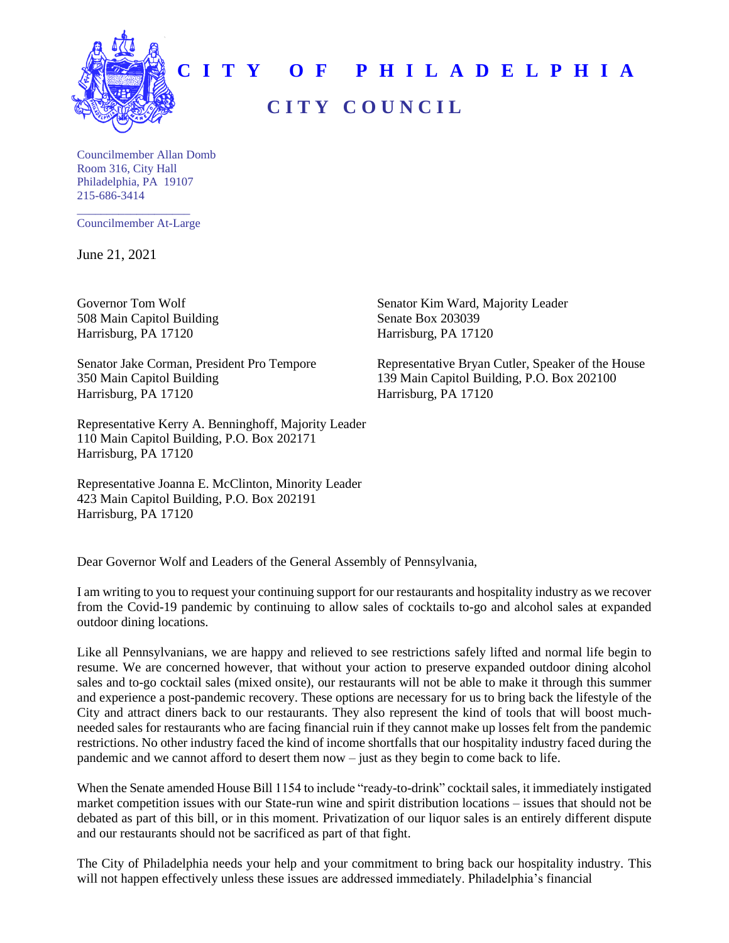

## **C I T Y O F P H I L A D E L P H I A C I T Y C O U N C I L**

Councilmember Allan Domb Room 316, City Hall Philadelphia, PA 19107 215-686-3414

\_\_\_\_\_\_\_\_\_\_\_\_\_\_\_\_\_\_\_ Councilmember At-Large

June 21, 2021

508 Main Capitol Building Senate Box 203039 Harrisburg, PA 17120 Harrisburg, PA 17120

350 Main Capitol Building 139 Main Capitol Building, P.O. Box 202100 Harrisburg, PA 17120 Harrisburg, PA 17120

Representative Kerry A. Benninghoff, Majority Leader 110 Main Capitol Building, P.O. Box 202171 Harrisburg, PA 17120

Representative Joanna E. McClinton, Minority Leader 423 Main Capitol Building, P.O. Box 202191 Harrisburg, PA 17120

Governor Tom Wolf Senator Kim Ward, Majority Leader

Senator Jake Corman, President Pro Tempore Representative Bryan Cutler, Speaker of the House

Dear Governor Wolf and Leaders of the General Assembly of Pennsylvania,

I am writing to you to request your continuing support for our restaurants and hospitality industry as we recover from the Covid-19 pandemic by continuing to allow sales of cocktails to-go and alcohol sales at expanded outdoor dining locations.

Like all Pennsylvanians, we are happy and relieved to see restrictions safely lifted and normal life begin to resume. We are concerned however, that without your action to preserve expanded outdoor dining alcohol sales and to-go cocktail sales (mixed onsite), our restaurants will not be able to make it through this summer and experience a post-pandemic recovery. These options are necessary for us to bring back the lifestyle of the City and attract diners back to our restaurants. They also represent the kind of tools that will boost muchneeded sales for restaurants who are facing financial ruin if they cannot make up losses felt from the pandemic restrictions. No other industry faced the kind of income shortfalls that our hospitality industry faced during the pandemic and we cannot afford to desert them now – just as they begin to come back to life.

When the Senate amended House Bill 1154 to include "ready-to-drink" cocktailsales, it immediately instigated market competition issues with our State-run wine and spirit distribution locations – issues that should not be debated as part of this bill, or in this moment. Privatization of our liquor sales is an entirely different dispute and our restaurants should not be sacrificed as part of that fight.

The City of Philadelphia needs your help and your commitment to bring back our hospitality industry. This will not happen effectively unless these issues are addressed immediately. Philadelphia's financial